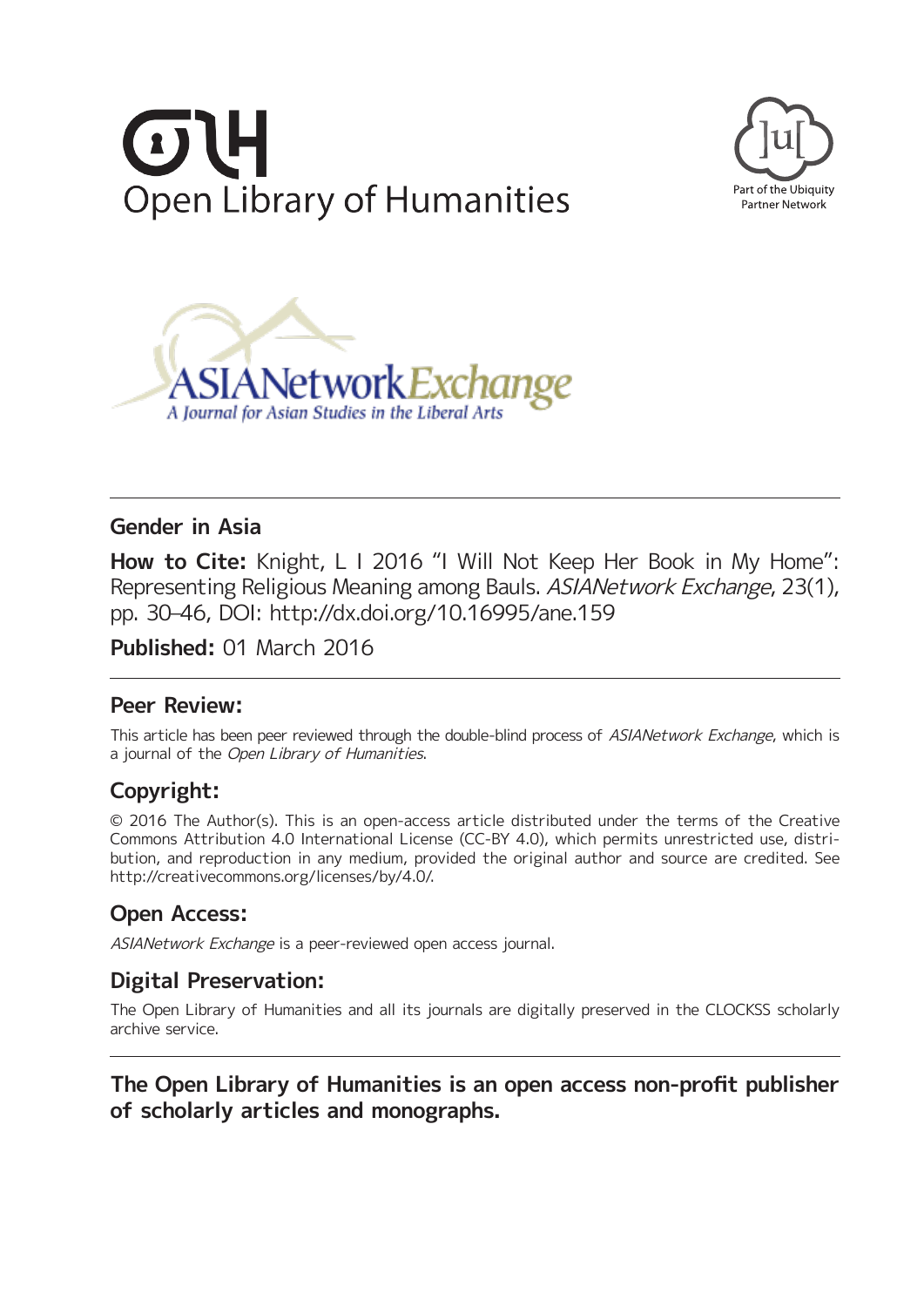





# **Gender in Asia**

**How to Cite:** Knight, L I 2016 "I Will Not Keep Her Book in My Home": Representing Religious Meaning among Bauls. ASIANetwork Exchange, 23(1), pp. 30–46, DOI:<http://dx.doi.org/10.16995/ane.159>

**Published:** 01 March 2016

# **Peer Review:**

This article has been peer reviewed through the double-blind process of ASIANetwork Exchange, which is a journal of the Open Library of Humanities.

# **Copyright:**

© 2016 The Author(s). This is an open-access article distributed under the terms of the Creative Commons Attribution 4.0 International License (CC-BY 4.0), which permits unrestricted use, distribution, and reproduction in any medium, provided the original author and source are credited. See <http://creativecommons.org/licenses/by/4.0/>.

# **Open Access:**

ASIANetwork Exchange is a peer-reviewed open access journal.

# **Digital Preservation:**

The Open Library of Humanities and all its journals are digitally preserved in the CLOCKSS scholarly archive service.

# **The Open Library of Humanities is an open access non-profit publisher of scholarly articles and monographs.**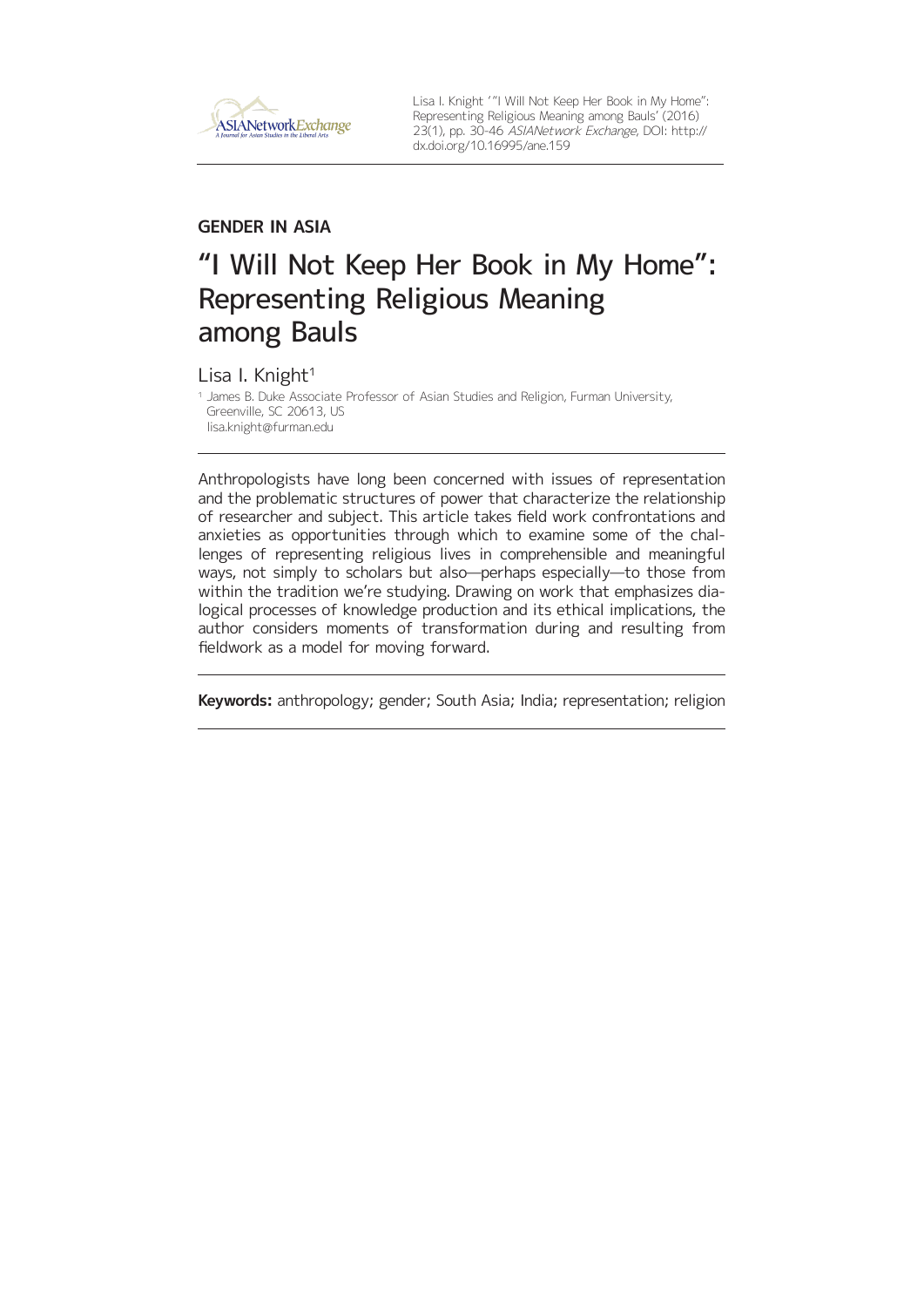

Lisa I. Knight ' "I Will Not Keep Her Book in My Home": Representing Religious Meaning among Bauls' (2016) 23(1), pp. 30-46 ASIANetwork Exchange, DOI: [http://](http://dx.doi.org/10.16995/ane.159) [dx.doi.org/10.16995/ane.159](http://dx.doi.org/10.16995/ane.159)

## **GENDER IN ASIA**

# "I Will Not Keep Her Book in My Home": Representing Religious Meaning among Bauls

Lisa I. Knight<sup>1</sup>

<sup>1</sup> James B. Duke Associate Professor of Asian Studies and Religion, Furman University, Greenville, SC 20613, US [lisa.knight@furman.edu](mailto:lisa.knight@furman.edu)

Anthropologists have long been concerned with issues of representation and the problematic structures of power that characterize the relationship of researcher and subject. This article takes field work confrontations and anxieties as opportunities through which to examine some of the challenges of representing religious lives in comprehensible and meaningful ways, not simply to scholars but also—perhaps especially—to those from within the tradition we're studying. Drawing on work that emphasizes dialogical processes of knowledge production and its ethical implications, the author considers moments of transformation during and resulting from fieldwork as a model for moving forward.

**Keywords:** anthropology; gender; South Asia; India; representation; religion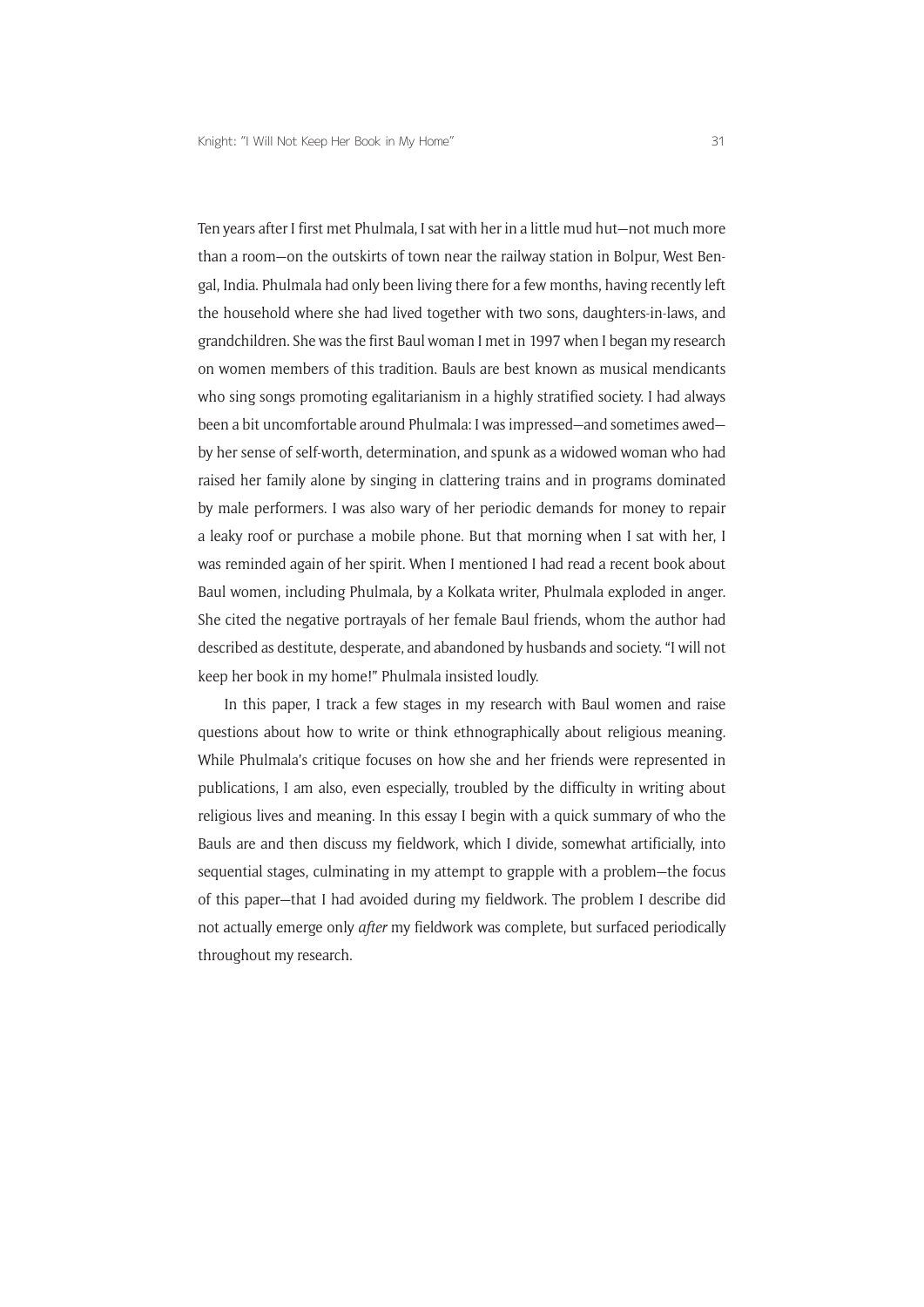Ten years after I first met Phulmala, I sat with her in a little mud hut—not much more than a room—on the outskirts of town near the railway station in Bolpur, West Bengal, India. Phulmala had only been living there for a few months, having recently left the household where she had lived together with two sons, daughters-in-laws, and grandchildren. She was the first Baul woman I met in 1997 when I began my research on women members of this tradition. Bauls are best known as musical mendicants who sing songs promoting egalitarianism in a highly stratified society. I had always been a bit uncomfortable around Phulmala: I was impressed—and sometimes awed by her sense of self-worth, determination, and spunk as a widowed woman who had raised her family alone by singing in clattering trains and in programs dominated by male performers. I was also wary of her periodic demands for money to repair a leaky roof or purchase a mobile phone. But that morning when I sat with her, I was reminded again of her spirit. When I mentioned I had read a recent book about Baul women, including Phulmala, by a Kolkata writer, Phulmala exploded in anger. She cited the negative portrayals of her female Baul friends, whom the author had described as destitute, desperate, and abandoned by husbands and society. "I will not keep her book in my home!" Phulmala insisted loudly.

In this paper, I track a few stages in my research with Baul women and raise questions about how to write or think ethnographically about religious meaning. While Phulmala's critique focuses on how she and her friends were represented in publications, I am also, even especially, troubled by the difficulty in writing about religious lives and meaning. In this essay I begin with a quick summary of who the Bauls are and then discuss my fieldwork, which I divide, somewhat artificially, into sequential stages, culminating in my attempt to grapple with a problem—the focus of this paper—that I had avoided during my fieldwork. The problem I describe did not actually emerge only *after* my fieldwork was complete, but surfaced periodically throughout my research.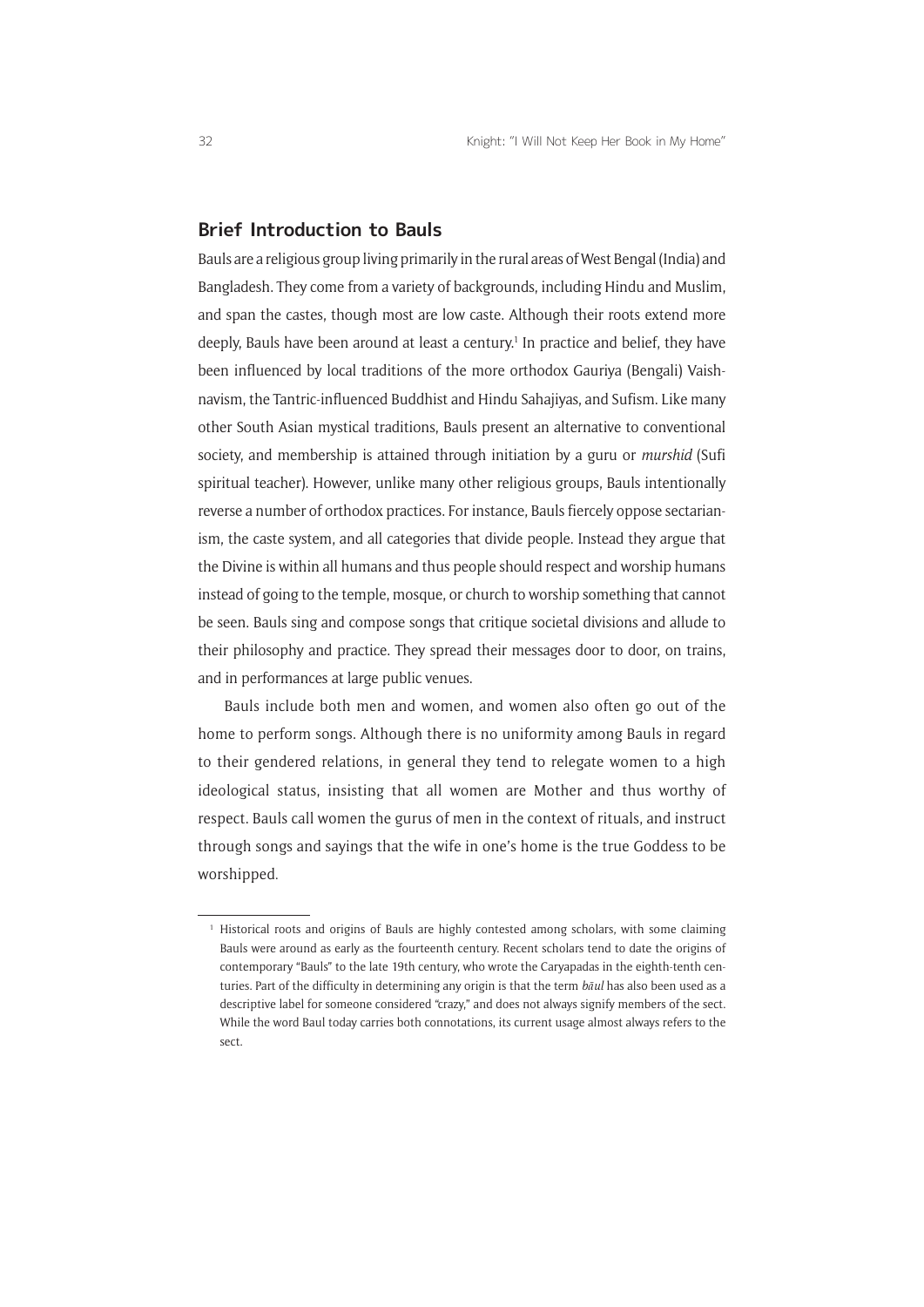## **Brief Introduction to Bauls**

Bauls are a religious group living primarily in the rural areas of West Bengal (India) and Bangladesh. They come from a variety of backgrounds, including Hindu and Muslim, and span the castes, though most are low caste. Although their roots extend more deeply, Bauls have been around at least a century.<sup>1</sup> In practice and belief, they have been influenced by local traditions of the more orthodox Gauriya (Bengali) Vaishnavism, the Tantric-influenced Buddhist and Hindu Sahajiyas, and Sufism. Like many other South Asian mystical traditions, Bauls present an alternative to conventional society, and membership is attained through initiation by a guru or *murshid* (Sufi spiritual teacher). However, unlike many other religious groups, Bauls intentionally reverse a number of orthodox practices. For instance, Bauls fiercely oppose sectarianism, the caste system, and all categories that divide people. Instead they argue that the Divine is within all humans and thus people should respect and worship humans instead of going to the temple, mosque, or church to worship something that cannot be seen. Bauls sing and compose songs that critique societal divisions and allude to their philosophy and practice. They spread their messages door to door, on trains, and in performances at large public venues.

Bauls include both men and women, and women also often go out of the home to perform songs. Although there is no uniformity among Bauls in regard to their gendered relations, in general they tend to relegate women to a high ideological status, insisting that all women are Mother and thus worthy of respect. Bauls call women the gurus of men in the context of rituals, and instruct through songs and sayings that the wife in one's home is the true Goddess to be worshipped.

<sup>&</sup>lt;sup>1</sup> Historical roots and origins of Bauls are highly contested among scholars, with some claiming Bauls were around as early as the fourteenth century. Recent scholars tend to date the origins of contemporary "Bauls" to the late 19th century, who wrote the Caryapadas in the eighth-tenth centuries. Part of the difficulty in determining any origin is that the term *bāul* has also been used as a descriptive label for someone considered "crazy," and does not always signify members of the sect. While the word Baul today carries both connotations, its current usage almost always refers to the sect.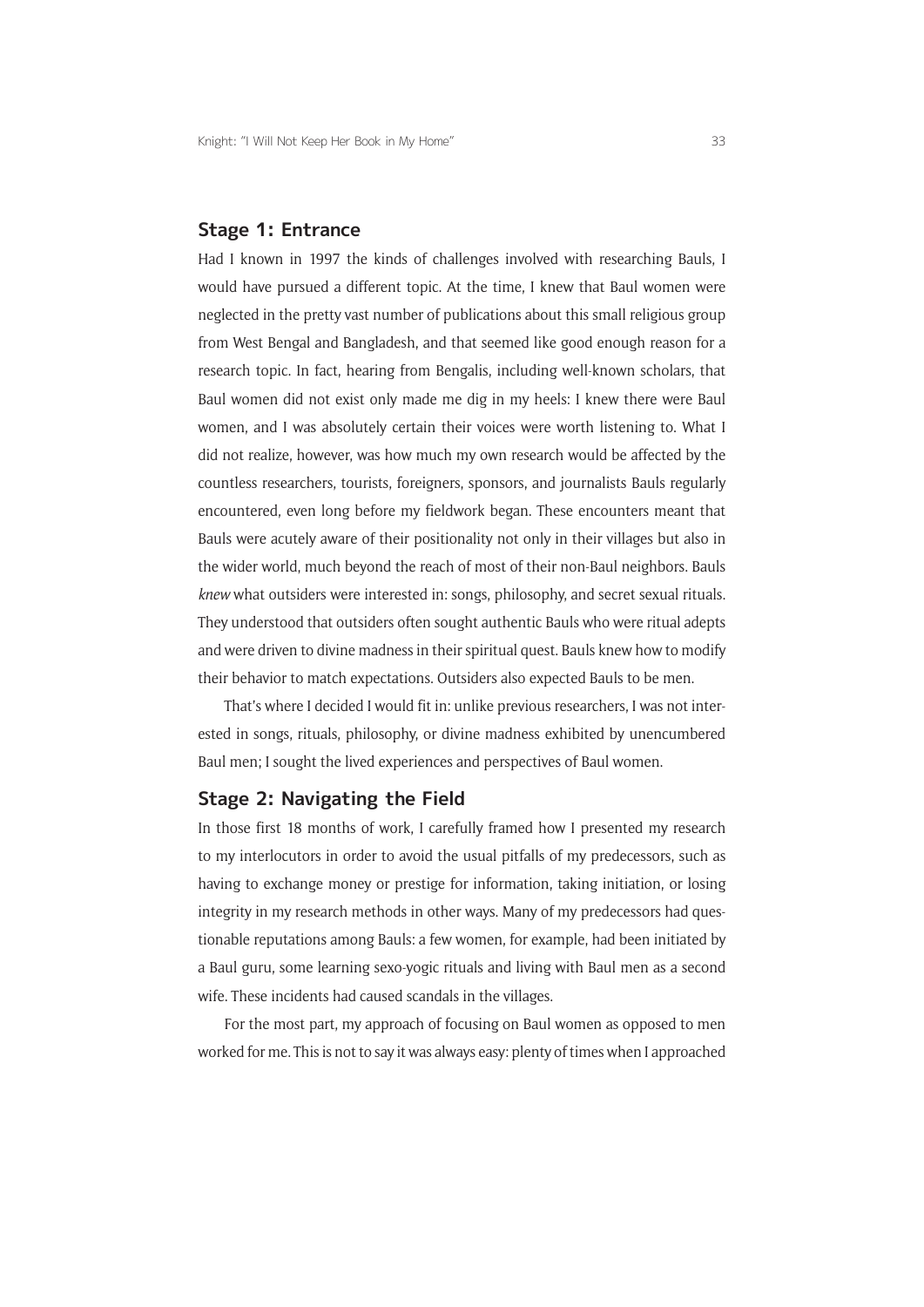### **Stage 1: Entrance**

Had I known in 1997 the kinds of challenges involved with researching Bauls, I would have pursued a different topic. At the time, I knew that Baul women were neglected in the pretty vast number of publications about this small religious group from West Bengal and Bangladesh, and that seemed like good enough reason for a research topic. In fact, hearing from Bengalis, including well-known scholars, that Baul women did not exist only made me dig in my heels: I knew there were Baul women, and I was absolutely certain their voices were worth listening to. What I did not realize, however, was how much my own research would be affected by the countless researchers, tourists, foreigners, sponsors, and journalists Bauls regularly encountered, even long before my fieldwork began. These encounters meant that Bauls were acutely aware of their positionality not only in their villages but also in the wider world, much beyond the reach of most of their non-Baul neighbors. Bauls *knew* what outsiders were interested in: songs, philosophy, and secret sexual rituals. They understood that outsiders often sought authentic Bauls who were ritual adepts and were driven to divine madness in their spiritual quest. Bauls knew how to modify their behavior to match expectations. Outsiders also expected Bauls to be men.

That's where I decided I would fit in: unlike previous researchers, I was not interested in songs, rituals, philosophy, or divine madness exhibited by unencumbered Baul men; I sought the lived experiences and perspectives of Baul women.

### **Stage 2: Navigating the Field**

In those first 18 months of work, I carefully framed how I presented my research to my interlocutors in order to avoid the usual pitfalls of my predecessors, such as having to exchange money or prestige for information, taking initiation, or losing integrity in my research methods in other ways. Many of my predecessors had questionable reputations among Bauls: a few women, for example, had been initiated by a Baul guru, some learning sexo-yogic rituals and living with Baul men as a second wife. These incidents had caused scandals in the villages.

For the most part, my approach of focusing on Baul women as opposed to men worked for me. This is not to say it was always easy: plenty of times when I approached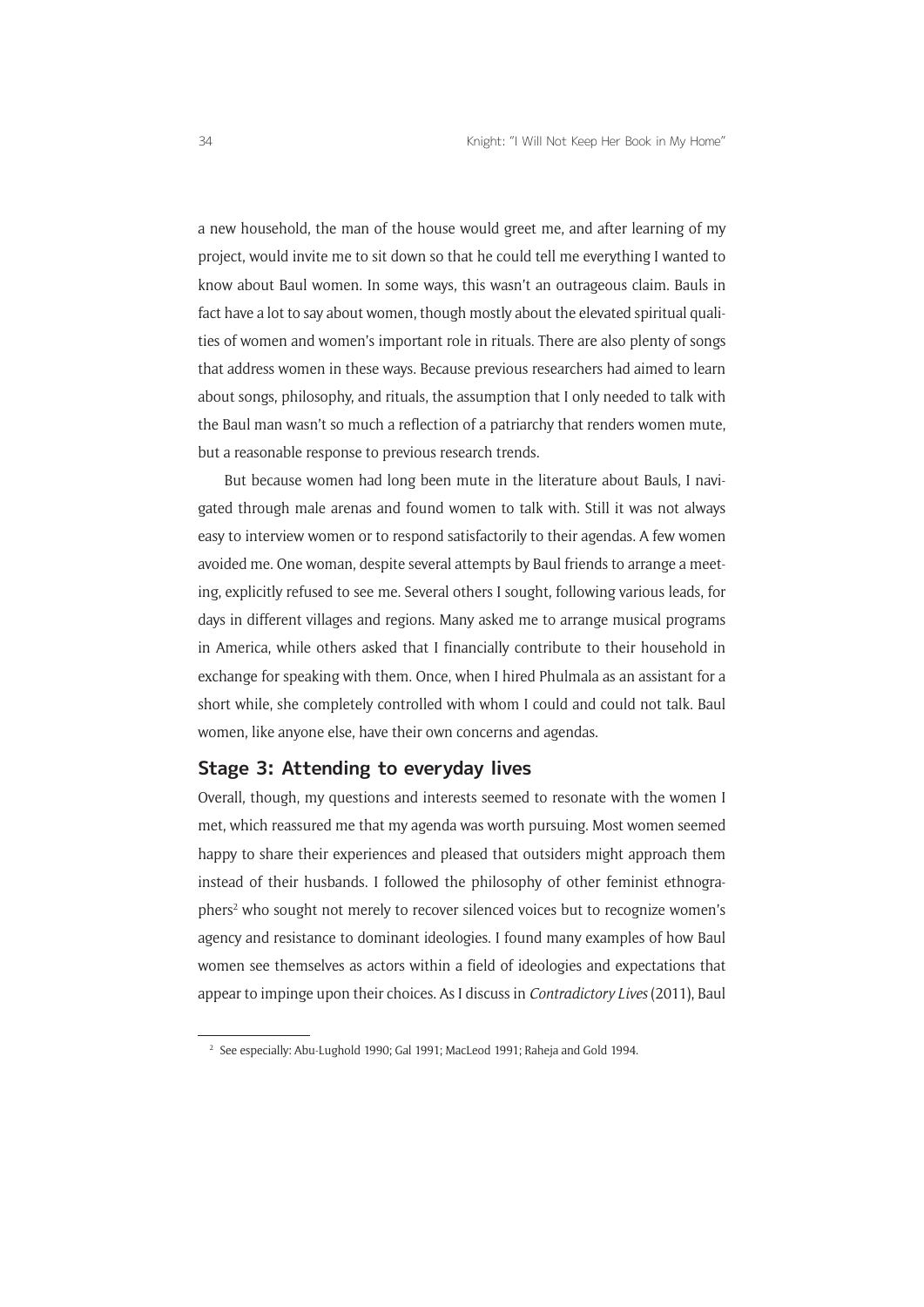a new household, the man of the house would greet me, and after learning of my project, would invite me to sit down so that he could tell me everything I wanted to know about Baul women. In some ways, this wasn't an outrageous claim. Bauls in fact have a lot to say about women, though mostly about the elevated spiritual qualities of women and women's important role in rituals. There are also plenty of songs that address women in these ways. Because previous researchers had aimed to learn about songs, philosophy, and rituals, the assumption that I only needed to talk with the Baul man wasn't so much a reflection of a patriarchy that renders women mute, but a reasonable response to previous research trends.

But because women had long been mute in the literature about Bauls, I navigated through male arenas and found women to talk with. Still it was not always easy to interview women or to respond satisfactorily to their agendas. A few women avoided me. One woman, despite several attempts by Baul friends to arrange a meeting, explicitly refused to see me. Several others I sought, following various leads, for days in different villages and regions. Many asked me to arrange musical programs in America, while others asked that I financially contribute to their household in exchange for speaking with them. Once, when I hired Phulmala as an assistant for a short while, she completely controlled with whom I could and could not talk. Baul women, like anyone else, have their own concerns and agendas.

## **Stage 3: Attending to everyday lives**

Overall, though, my questions and interests seemed to resonate with the women I met, which reassured me that my agenda was worth pursuing. Most women seemed happy to share their experiences and pleased that outsiders might approach them instead of their husbands. I followed the philosophy of other feminist ethnographers<sup>2</sup> who sought not merely to recover silenced voices but to recognize women's agency and resistance to dominant ideologies. I found many examples of how Baul women see themselves as actors within a field of ideologies and expectations that appear to impinge upon their choices. As I discuss in *Contradictory Lives* (2011), Baul

<sup>&</sup>lt;sup>2</sup> See especially: Abu-Lughold 1990; Gal 1991; MacLeod 1991; Raheja and Gold 1994.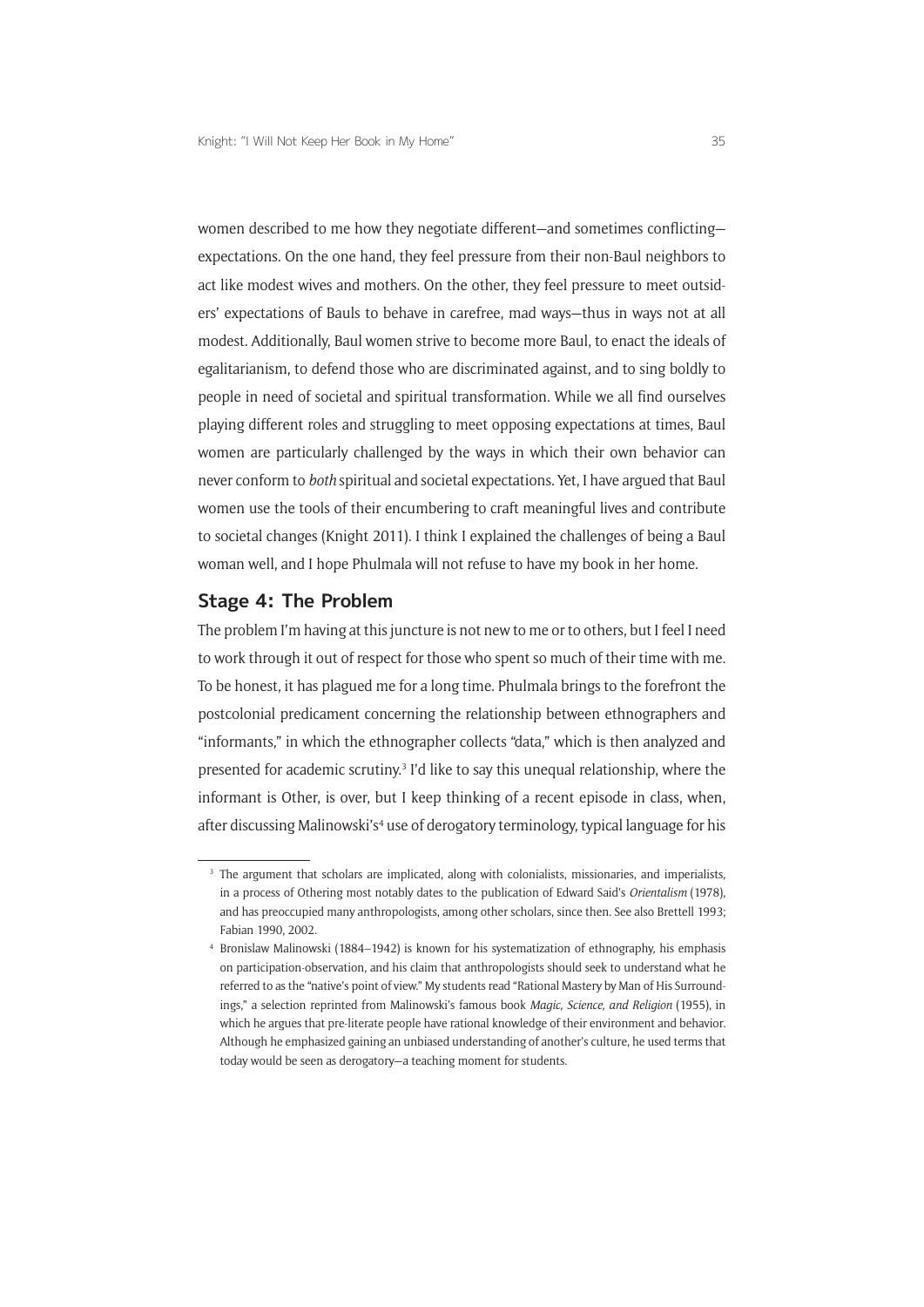women described to me how they negotiate different—and sometimes conflicting expectations. On the one hand, they feel pressure from their non-Baul neighbors to act like modest wives and mothers. On the other, they feel pressure to meet outsiders' expectations of Bauls to behave in carefree, mad ways—thus in ways not at all modest. Additionally, Baul women strive to become more Baul, to enact the ideals of egalitarianism, to defend those who are discriminated against, and to sing boldly to people in need of societal and spiritual transformation. While we all find ourselves playing different roles and struggling to meet opposing expectations at times, Baul women are particularly challenged by the ways in which their own behavior can never conform to *both* spiritual and societal expectations. Yet, I have argued that Baul women use the tools of their encumbering to craft meaningful lives and contribute to societal changes (Knight 2011). I think I explained the challenges of being a Baul woman well, and I hope Phulmala will not refuse to have my book in her home.

## **Stage 4: The Problem**

The problem I'm having at this juncture is not new to me or to others, but I feel I need to work through it out of respect for those who spent so much of their time with me. To be honest, it has plagued me for a long time. Phulmala brings to the forefront the postcolonial predicament concerning the relationship between ethnographers and "informants," in which the ethnographer collects "data," which is then analyzed and presented for academic scrutiny.<sup>3</sup> I'd like to say this unequal relationship, where the informant is Other, is over, but I keep thinking of a recent episode in class, when, after discussing Malinowski's<sup>4</sup> use of derogatory terminology, typical language for his

<sup>&</sup>lt;sup>3</sup> The argument that scholars are implicated, along with colonialists, missionaries, and imperialists, in a process of Othering most notably dates to the publication of Edward Said's *Orientalism* (1978), and has preoccupied many anthropologists, among other scholars, since then. See also Brettell 1993; Fabian 1990, 2002.

<sup>4</sup> Bronislaw Malinowski (1884–1942) is known for his systematization of ethnography, his emphasis on participation-observation, and his claim that anthropologists should seek to understand what he referred to as the "native's point of view." My students read "Rational Mastery by Man of His Surroundings," a selection reprinted from Malinowski's famous book *Magic, Science, and Religion* (1955), in which he argues that pre-literate people have rational knowledge of their environment and behavior. Although he emphasized gaining an unbiased understanding of another's culture, he used terms that today would be seen as derogatory—a teaching moment for students.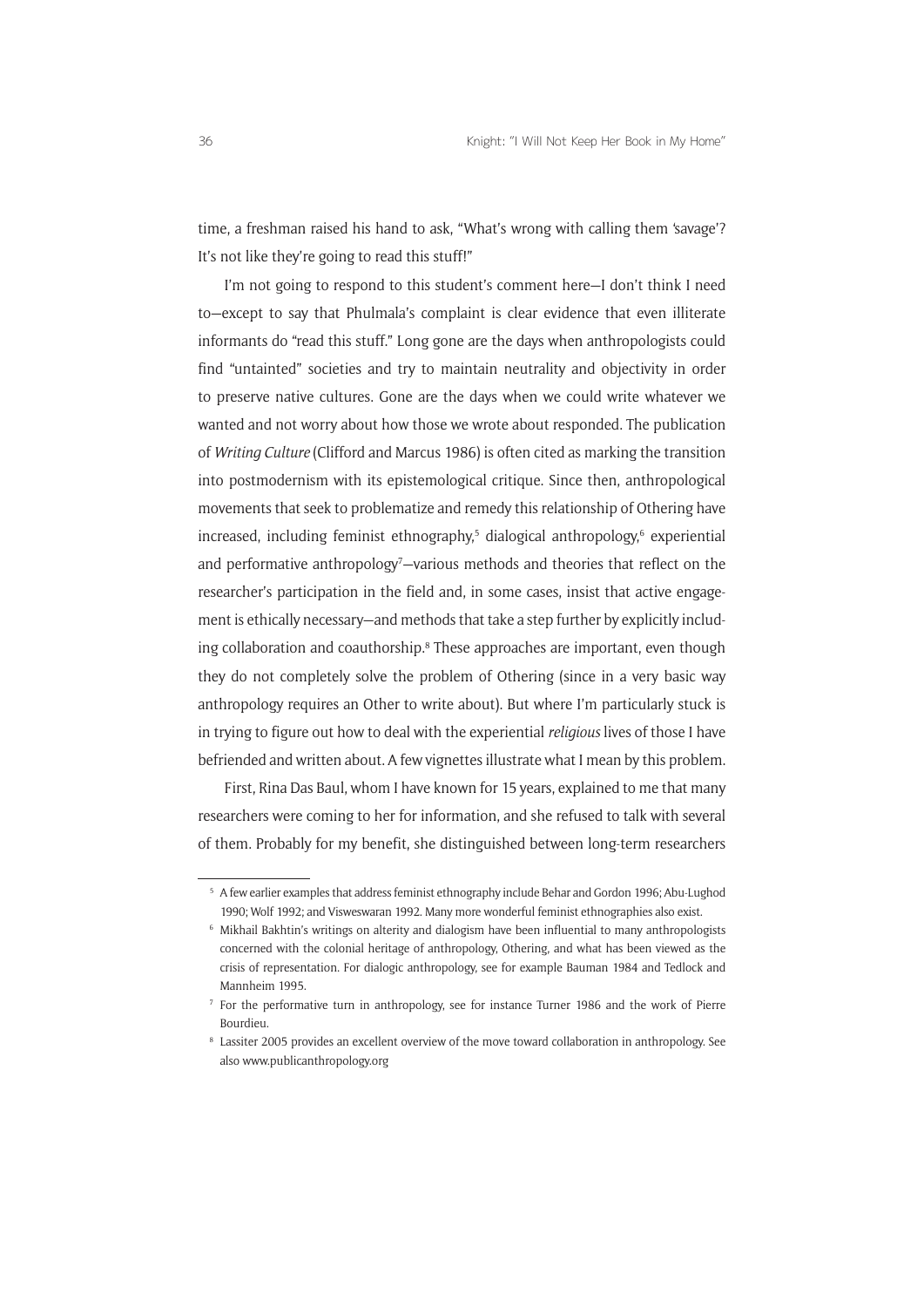time, a freshman raised his hand to ask, "What's wrong with calling them 'savage'? It's not like they're going to read this stuff!"

I'm not going to respond to this student's comment here—I don't think I need to—except to say that Phulmala's complaint is clear evidence that even illiterate informants do "read this stuff." Long gone are the days when anthropologists could find "untainted" societies and try to maintain neutrality and objectivity in order to preserve native cultures. Gone are the days when we could write whatever we wanted and not worry about how those we wrote about responded. The publication of *Writing Culture* (Clifford and Marcus 1986) is often cited as marking the transition into postmodernism with its epistemological critique. Since then, anthropological movements that seek to problematize and remedy this relationship of Othering have increased, including feminist ethnography,<sup>5</sup> dialogical anthropology,<sup>6</sup> experiential and performative anthropology<sup>7</sup>-various methods and theories that reflect on the researcher's participation in the field and, in some cases, insist that active engagement is ethically necessary—and methods that take a step further by explicitly including collaboration and coauthorship.<sup>8</sup> These approaches are important, even though they do not completely solve the problem of Othering (since in a very basic way anthropology requires an Other to write about). But where I'm particularly stuck is in trying to figure out how to deal with the experiential *religious* lives of those I have befriended and written about. A few vignettes illustrate what I mean by this problem.

First, Rina Das Baul, whom I have known for 15 years, explained to me that many researchers were coming to her for information, and she refused to talk with several of them. Probably for my benefit, she distinguished between long-term researchers

<sup>5</sup> A few earlier examples that address feminist ethnography include Behar and Gordon 1996; Abu-Lughod 1990; Wolf 1992; and Visweswaran 1992. Many more wonderful feminist ethnographies also exist.

<sup>6</sup> Mikhail Bakhtin's writings on alterity and dialogism have been influential to many anthropologists concerned with the colonial heritage of anthropology, Othering, and what has been viewed as the crisis of representation. For dialogic anthropology, see for example Bauman 1984 and Tedlock and Mannheim 1995.

<sup>7</sup> For the performative turn in anthropology, see for instance Turner 1986 and the work of Pierre Bourdieu.

<sup>8</sup> Lassiter 2005 provides an excellent overview of the move toward collaboration in anthropology. See also www.publicanthropology.org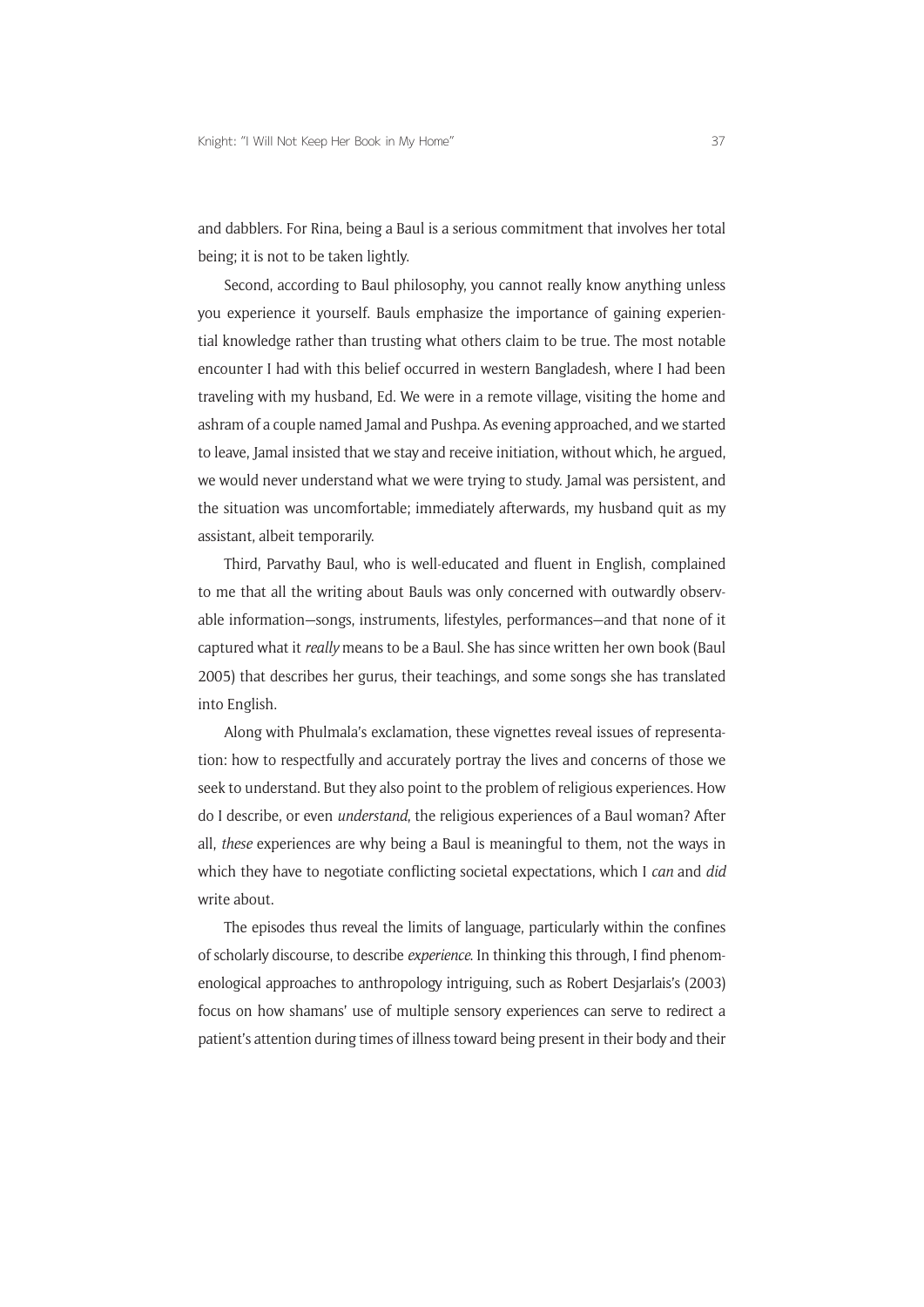and dabblers. For Rina, being a Baul is a serious commitment that involves her total being; it is not to be taken lightly.

Second, according to Baul philosophy, you cannot really know anything unless you experience it yourself. Bauls emphasize the importance of gaining experiential knowledge rather than trusting what others claim to be true. The most notable encounter I had with this belief occurred in western Bangladesh, where I had been traveling with my husband, Ed. We were in a remote village, visiting the home and ashram of a couple named Jamal and Pushpa. As evening approached, and we started to leave, Jamal insisted that we stay and receive initiation, without which, he argued, we would never understand what we were trying to study. Jamal was persistent, and the situation was uncomfortable; immediately afterwards, my husband quit as my assistant, albeit temporarily.

Third, Parvathy Baul, who is well-educated and fluent in English, complained to me that all the writing about Bauls was only concerned with outwardly observable information—songs, instruments, lifestyles, performances—and that none of it captured what it *really* means to be a Baul. She has since written her own book (Baul 2005) that describes her gurus, their teachings, and some songs she has translated into English.

Along with Phulmala's exclamation, these vignettes reveal issues of representation: how to respectfully and accurately portray the lives and concerns of those we seek to understand. But they also point to the problem of religious experiences. How do I describe, or even *understand*, the religious experiences of a Baul woman? After all, *these* experiences are why being a Baul is meaningful to them, not the ways in which they have to negotiate conflicting societal expectations, which I *can* and *did* write about.

The episodes thus reveal the limits of language, particularly within the confines of scholarly discourse, to describe *experience*. In thinking this through, I find phenomenological approaches to anthropology intriguing, such as Robert Desjarlais's (2003) focus on how shamans' use of multiple sensory experiences can serve to redirect a patient's attention during times of illness toward being present in their body and their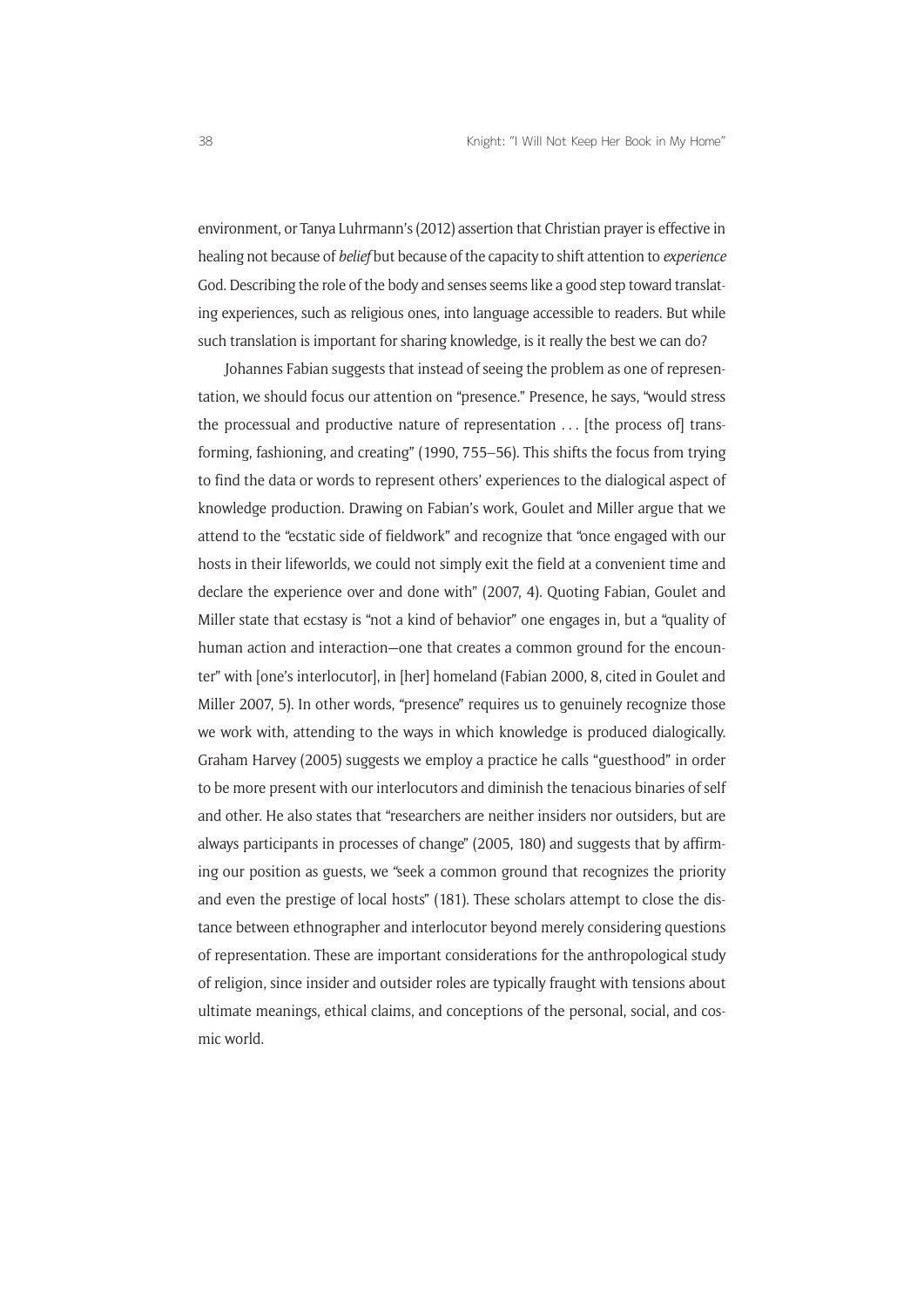environment, or Tanya Luhrmann's (2012) assertion that Christian prayer is effective in healing not because of *belief* but because of the capacity to shift attention to *experience* God. Describing the role of the body and senses seems like a good step toward translating experiences, such as religious ones, into language accessible to readers. But while such translation is important for sharing knowledge, is it really the best we can do?

Johannes Fabian suggests that instead of seeing the problem as one of representation, we should focus our attention on "presence." Presence, he says, "would stress the processual and productive nature of representation . . . [the process of] transforming, fashioning, and creating" (1990, 755–56). This shifts the focus from trying to find the data or words to represent others' experiences to the dialogical aspect of knowledge production. Drawing on Fabian's work, Goulet and Miller argue that we attend to the "ecstatic side of fieldwork" and recognize that "once engaged with our hosts in their lifeworlds, we could not simply exit the field at a convenient time and declare the experience over and done with" (2007, 4). Quoting Fabian, Goulet and Miller state that ecstasy is "not a kind of behavior" one engages in, but a "quality of human action and interaction—one that creates a common ground for the encounter" with [one's interlocutor], in [her] homeland (Fabian 2000, 8, cited in Goulet and Miller 2007, 5). In other words, "presence" requires us to genuinely recognize those we work with, attending to the ways in which knowledge is produced dialogically. Graham Harvey (2005) suggests we employ a practice he calls "guesthood" in order to be more present with our interlocutors and diminish the tenacious binaries of self and other. He also states that "researchers are neither insiders nor outsiders, but are always participants in processes of change" (2005, 180) and suggests that by affirming our position as guests, we "seek a common ground that recognizes the priority and even the prestige of local hosts" (181). These scholars attempt to close the distance between ethnographer and interlocutor beyond merely considering questions of representation. These are important considerations for the anthropological study of religion, since insider and outsider roles are typically fraught with tensions about ultimate meanings, ethical claims, and conceptions of the personal, social, and cosmic world.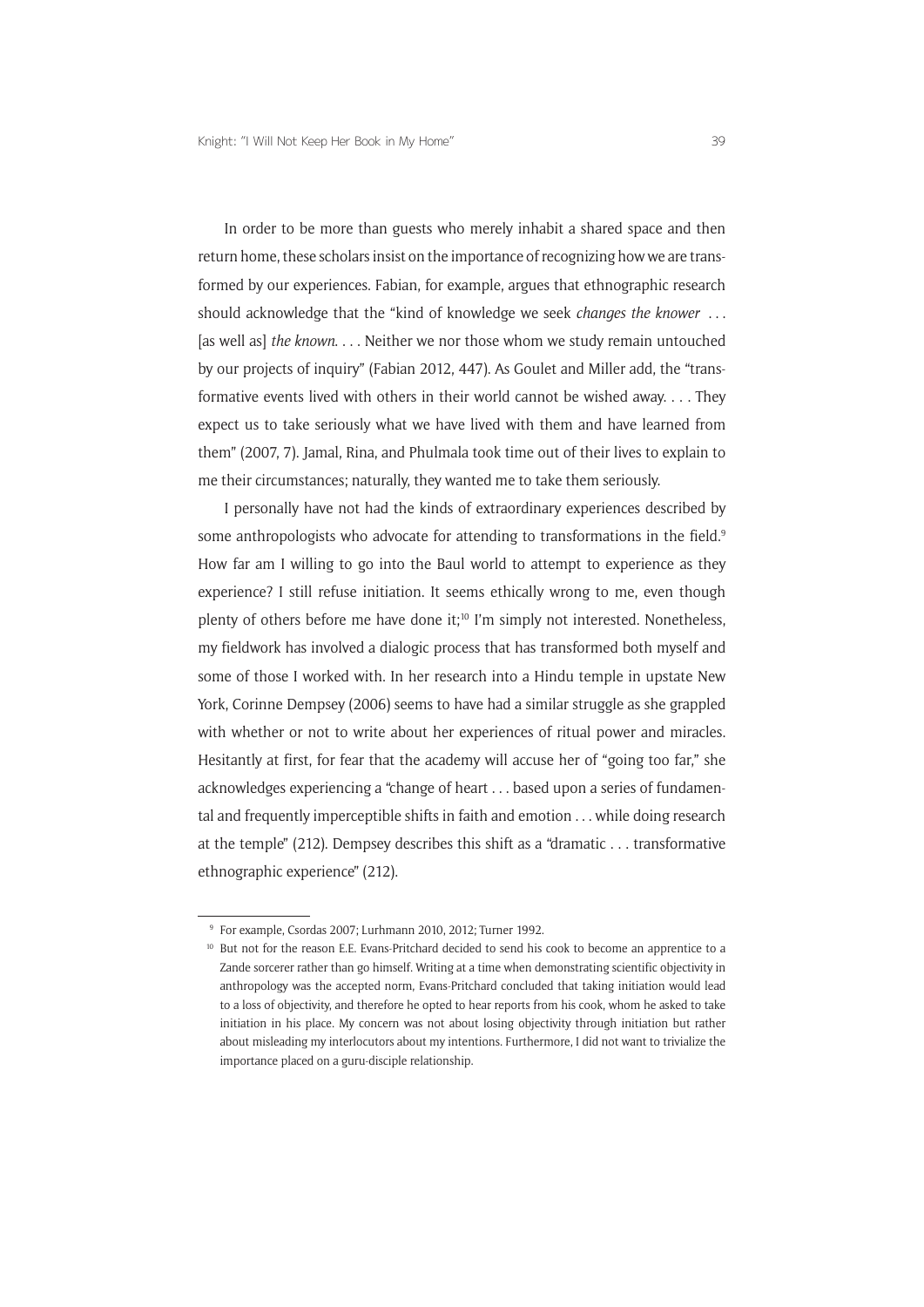In order to be more than guests who merely inhabit a shared space and then return home, these scholars insist on the importance of recognizing how we are transformed by our experiences. Fabian, for example, argues that ethnographic research should acknowledge that the "kind of knowledge we seek *changes the knower* . . . [as well as] *the known*. . . . Neither we nor those whom we study remain untouched by our projects of inquiry" (Fabian 2012, 447). As Goulet and Miller add, the "transformative events lived with others in their world cannot be wished away. . . . They expect us to take seriously what we have lived with them and have learned from them" (2007, 7). Jamal, Rina, and Phulmala took time out of their lives to explain to me their circumstances; naturally, they wanted me to take them seriously.

I personally have not had the kinds of extraordinary experiences described by some anthropologists who advocate for attending to transformations in the field.<sup>9</sup> How far am I willing to go into the Baul world to attempt to experience as they experience? I still refuse initiation. It seems ethically wrong to me, even though plenty of others before me have done it;10 I'm simply not interested. Nonetheless, my fieldwork has involved a dialogic process that has transformed both myself and some of those I worked with. In her research into a Hindu temple in upstate New York, Corinne Dempsey (2006) seems to have had a similar struggle as she grappled with whether or not to write about her experiences of ritual power and miracles. Hesitantly at first, for fear that the academy will accuse her of "going too far," she acknowledges experiencing a "change of heart . . . based upon a series of fundamental and frequently imperceptible shifts in faith and emotion . . . while doing research at the temple" (212). Dempsey describes this shift as a "dramatic . . . transformative ethnographic experience" (212).

<sup>9</sup> For example, Csordas 2007; Lurhmann 2010, 2012; Turner 1992.

<sup>&</sup>lt;sup>10</sup> But not for the reason E.E. Evans-Pritchard decided to send his cook to become an apprentice to a Zande sorcerer rather than go himself. Writing at a time when demonstrating scientific objectivity in anthropology was the accepted norm, Evans-Pritchard concluded that taking initiation would lead to a loss of objectivity, and therefore he opted to hear reports from his cook, whom he asked to take initiation in his place. My concern was not about losing objectivity through initiation but rather about misleading my interlocutors about my intentions. Furthermore, I did not want to trivialize the importance placed on a guru-disciple relationship.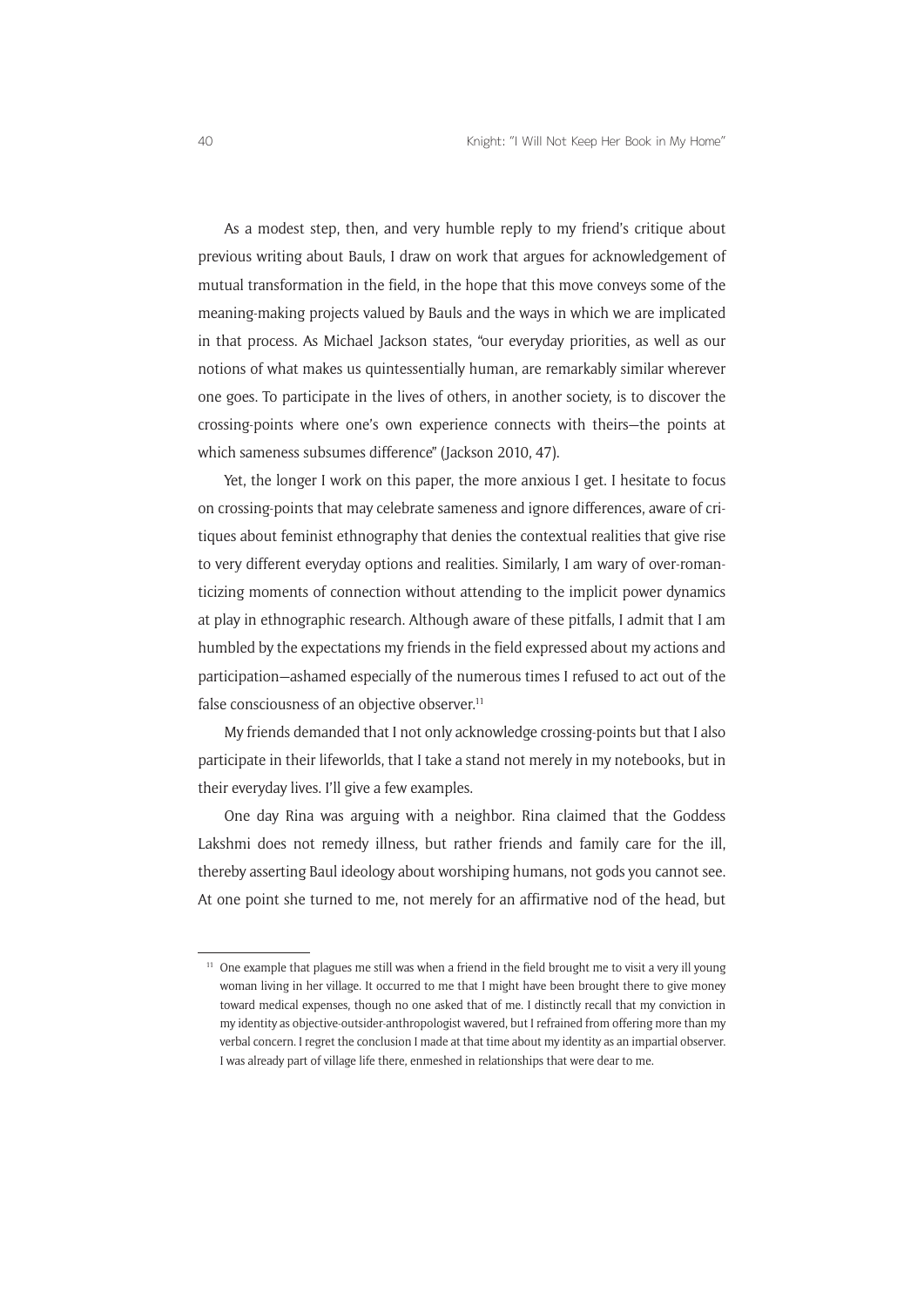As a modest step, then, and very humble reply to my friend's critique about previous writing about Bauls, I draw on work that argues for acknowledgement of mutual transformation in the field, in the hope that this move conveys some of the meaning-making projects valued by Bauls and the ways in which we are implicated in that process. As Michael Jackson states, "our everyday priorities, as well as our notions of what makes us quintessentially human, are remarkably similar wherever one goes. To participate in the lives of others, in another society, is to discover the crossing-points where one's own experience connects with theirs—the points at which sameness subsumes difference" (Jackson 2010, 47).

Yet, the longer I work on this paper, the more anxious I get. I hesitate to focus on crossing-points that may celebrate sameness and ignore differences, aware of critiques about feminist ethnography that denies the contextual realities that give rise to very different everyday options and realities. Similarly, I am wary of over-romanticizing moments of connection without attending to the implicit power dynamics at play in ethnographic research. Although aware of these pitfalls, I admit that I am humbled by the expectations my friends in the field expressed about my actions and participation—ashamed especially of the numerous times I refused to act out of the false consciousness of an objective observer.<sup>11</sup>

My friends demanded that I not only acknowledge crossing-points but that I also participate in their lifeworlds, that I take a stand not merely in my notebooks, but in their everyday lives. I'll give a few examples.

One day Rina was arguing with a neighbor. Rina claimed that the Goddess Lakshmi does not remedy illness, but rather friends and family care for the ill, thereby asserting Baul ideology about worshiping humans, not gods you cannot see. At one point she turned to me, not merely for an affirmative nod of the head, but

 $11$  One example that plagues me still was when a friend in the field brought me to visit a very ill young woman living in her village. It occurred to me that I might have been brought there to give money toward medical expenses, though no one asked that of me. I distinctly recall that my conviction in my identity as objective-outsider-anthropologist wavered, but I refrained from offering more than my verbal concern. I regret the conclusion I made at that time about my identity as an impartial observer. I was already part of village life there, enmeshed in relationships that were dear to me.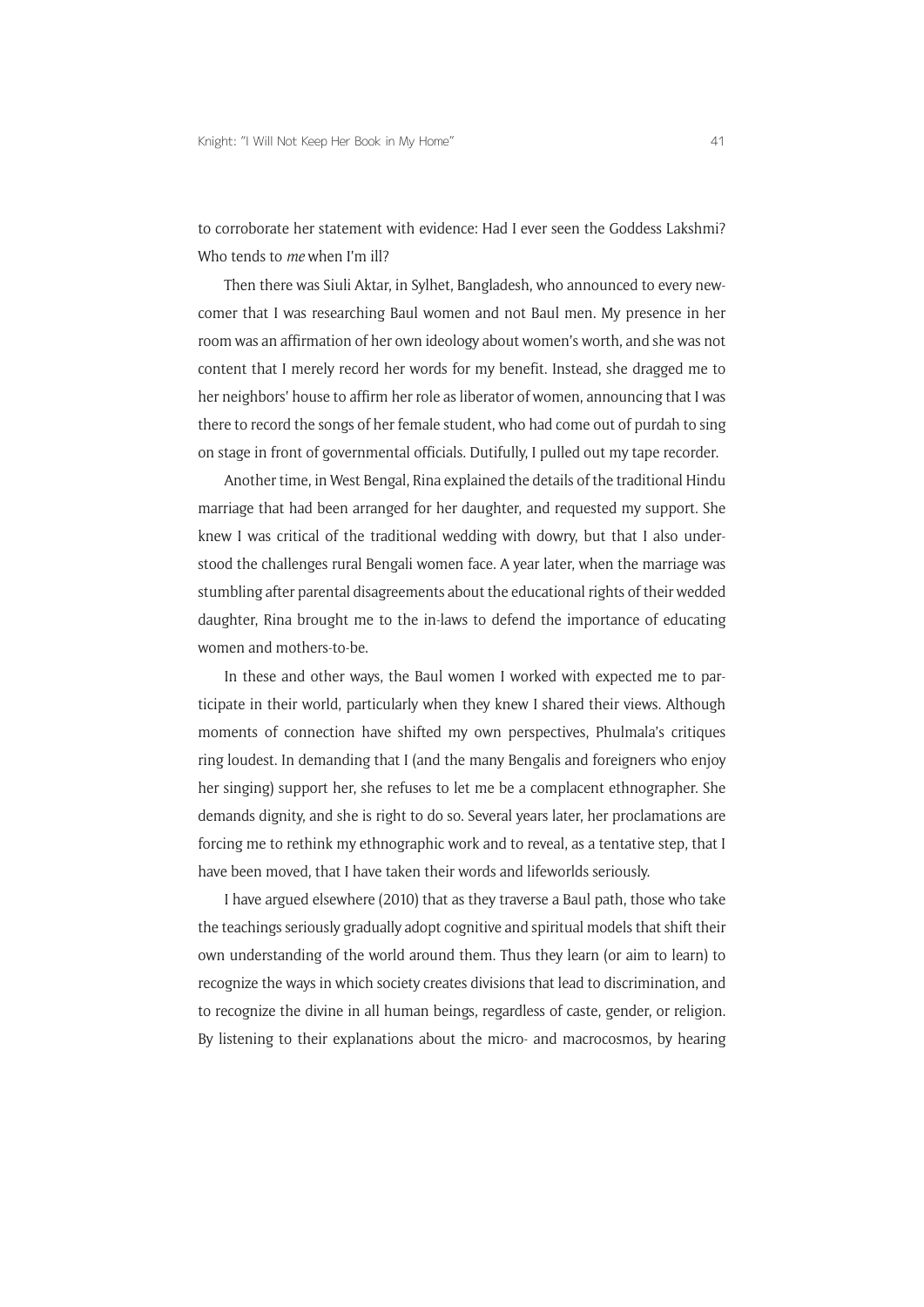to corroborate her statement with evidence: Had I ever seen the Goddess Lakshmi? Who tends to *me* when I'm ill?

Then there was Siuli Aktar, in Sylhet, Bangladesh, who announced to every newcomer that I was researching Baul women and not Baul men. My presence in her room was an affirmation of her own ideology about women's worth, and she was not content that I merely record her words for my benefit. Instead, she dragged me to her neighbors' house to affirm her role as liberator of women, announcing that I was there to record the songs of her female student, who had come out of purdah to sing on stage in front of governmental officials. Dutifully, I pulled out my tape recorder.

Another time, in West Bengal, Rina explained the details of the traditional Hindu marriage that had been arranged for her daughter, and requested my support. She knew I was critical of the traditional wedding with dowry, but that I also understood the challenges rural Bengali women face. A year later, when the marriage was stumbling after parental disagreements about the educational rights of their wedded daughter, Rina brought me to the in-laws to defend the importance of educating women and mothers-to-be.

In these and other ways, the Baul women I worked with expected me to participate in their world, particularly when they knew I shared their views. Although moments of connection have shifted my own perspectives, Phulmala's critiques ring loudest. In demanding that I (and the many Bengalis and foreigners who enjoy her singing) support her, she refuses to let me be a complacent ethnographer. She demands dignity, and she is right to do so. Several years later, her proclamations are forcing me to rethink my ethnographic work and to reveal, as a tentative step, that I have been moved, that I have taken their words and lifeworlds seriously.

I have argued elsewhere (2010) that as they traverse a Baul path, those who take the teachings seriously gradually adopt cognitive and spiritual models that shift their own understanding of the world around them. Thus they learn (or aim to learn) to recognize the ways in which society creates divisions that lead to discrimination, and to recognize the divine in all human beings, regardless of caste, gender, or religion. By listening to their explanations about the micro- and macrocosmos, by hearing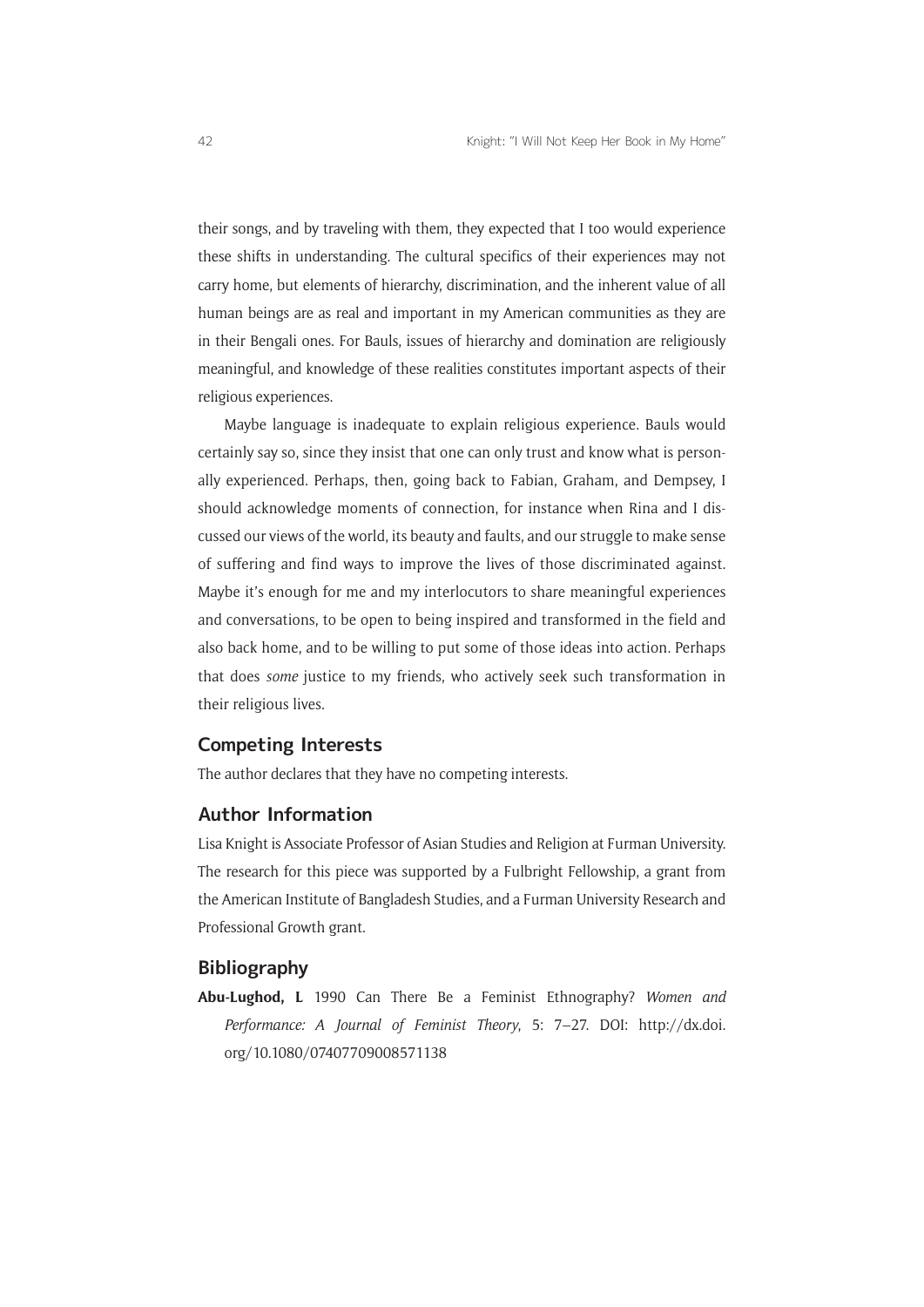their songs, and by traveling with them, they expected that I too would experience these shifts in understanding. The cultural specifics of their experiences may not carry home, but elements of hierarchy, discrimination, and the inherent value of all human beings are as real and important in my American communities as they are in their Bengali ones. For Bauls, issues of hierarchy and domination are religiously meaningful, and knowledge of these realities constitutes important aspects of their religious experiences.

Maybe language is inadequate to explain religious experience. Bauls would certainly say so, since they insist that one can only trust and know what is personally experienced. Perhaps, then, going back to Fabian, Graham, and Dempsey, I should acknowledge moments of connection, for instance when Rina and I discussed our views of the world, its beauty and faults, and our struggle to make sense of suffering and find ways to improve the lives of those discriminated against. Maybe it's enough for me and my interlocutors to share meaningful experiences and conversations, to be open to being inspired and transformed in the field and also back home, and to be willing to put some of those ideas into action. Perhaps that does *some* justice to my friends, who actively seek such transformation in their religious lives.

#### **Competing Interests**

The author declares that they have no competing interests.

## **Author Information**

Lisa Knight is Associate Professor of Asian Studies and Religion at Furman University. The research for this piece was supported by a Fulbright Fellowship, a grant from the American Institute of Bangladesh Studies, and a Furman University Research and Professional Growth grant.

## **Bibliography**

**Abu-Lughod, L** 1990 Can There Be a Feminist Ethnography? *Women and Performance: A Journal of Feminist Theory*, 5: 7–27. DOI: [http://dx.doi.](http://dx.doi.org/10.1080/07407709008571138) [org/10.1080/07407709008571138](http://dx.doi.org/10.1080/07407709008571138)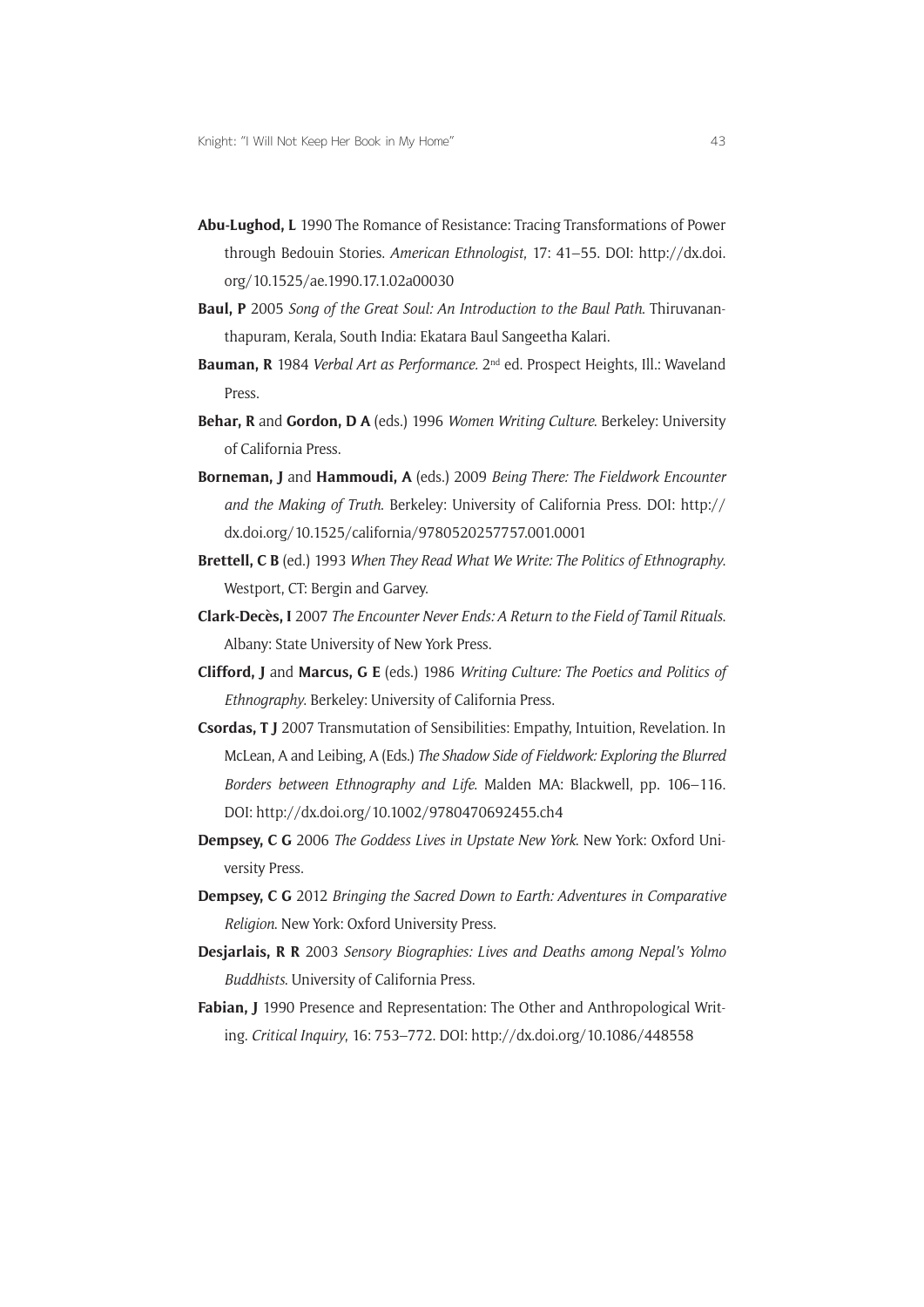- **Abu-Lughod, L** 1990 The Romance of Resistance: Tracing Transformations of Power through Bedouin Stories. *American Ethnologist*, 17: 41–55. DOI: [http://dx.doi.](http://dx.doi.org/10.1525/ae.1990.17.1.02a00030) [org/10.1525/ae.1990.17.1.02a00030](http://dx.doi.org/10.1525/ae.1990.17.1.02a00030)
- **Baul, P** 2005 *Song of the Great Soul: An Introduction to the Baul Path*. Thiruvananthapuram, Kerala, South India: Ekatara Baul Sangeetha Kalari.
- **Bauman, R** 1984 *Verbal Art as Performance.* 2nd ed. Prospect Heights, Ill.: Waveland Press.
- **Behar, R** and **Gordon, D A** (eds.) 1996 *Women Writing Culture*. Berkeley: University of California Press.
- **Borneman, J** and **Hammoudi, A** (eds.) 2009 *Being There: The Fieldwork Encounter and the Making of Truth*. Berkeley: University of California Press. DOI: [http://](http://dx.doi.org/10.1525/california/9780520257757.001.0001) [dx.doi.org/10.1525/california/9780520257757.001.0001](http://dx.doi.org/10.1525/california/9780520257757.001.0001)
- **Brettell, C B** (ed.) 1993 *When They Read What We Write: The Politics of Ethnography*. Westport, CT: Bergin and Garvey.
- **Clark-Decès, I** 2007 *The Encounter Never Ends: A Return to the Field of Tamil Rituals*. Albany: State University of New York Press.
- **Clifford, J** and **Marcus, G E** (eds.) 1986 *Writing Culture: The Poetics and Politics of Ethnography*. Berkeley: University of California Press.
- **Csordas, T J** 2007 Transmutation of Sensibilities: Empathy, Intuition, Revelation. In McLean, A and Leibing, A (Eds.) *The Shadow Side of Fieldwork: Exploring the Blurred Borders between Ethnography and Life*. Malden MA: Blackwell, pp. 106–116. DOI:<http://dx.doi.org/10.1002/9780470692455.ch4>
- **Dempsey, C G** 2006 *The Goddess Lives in Upstate New York*. New York: Oxford University Press.
- **Dempsey, C G** 2012 *Bringing the Sacred Down to Earth: Adventures in Comparative Religion*. New York: Oxford University Press.
- **Desjarlais, R R** 2003 *Sensory Biographies: Lives and Deaths among Nepal's Yolmo Buddhists*. University of California Press.
- **Fabian, J** 1990 Presence and Representation: The Other and Anthropological Writing. *Critical Inquiry*, 16: 753–772. DOI: <http://dx.doi.org/10.1086/448558>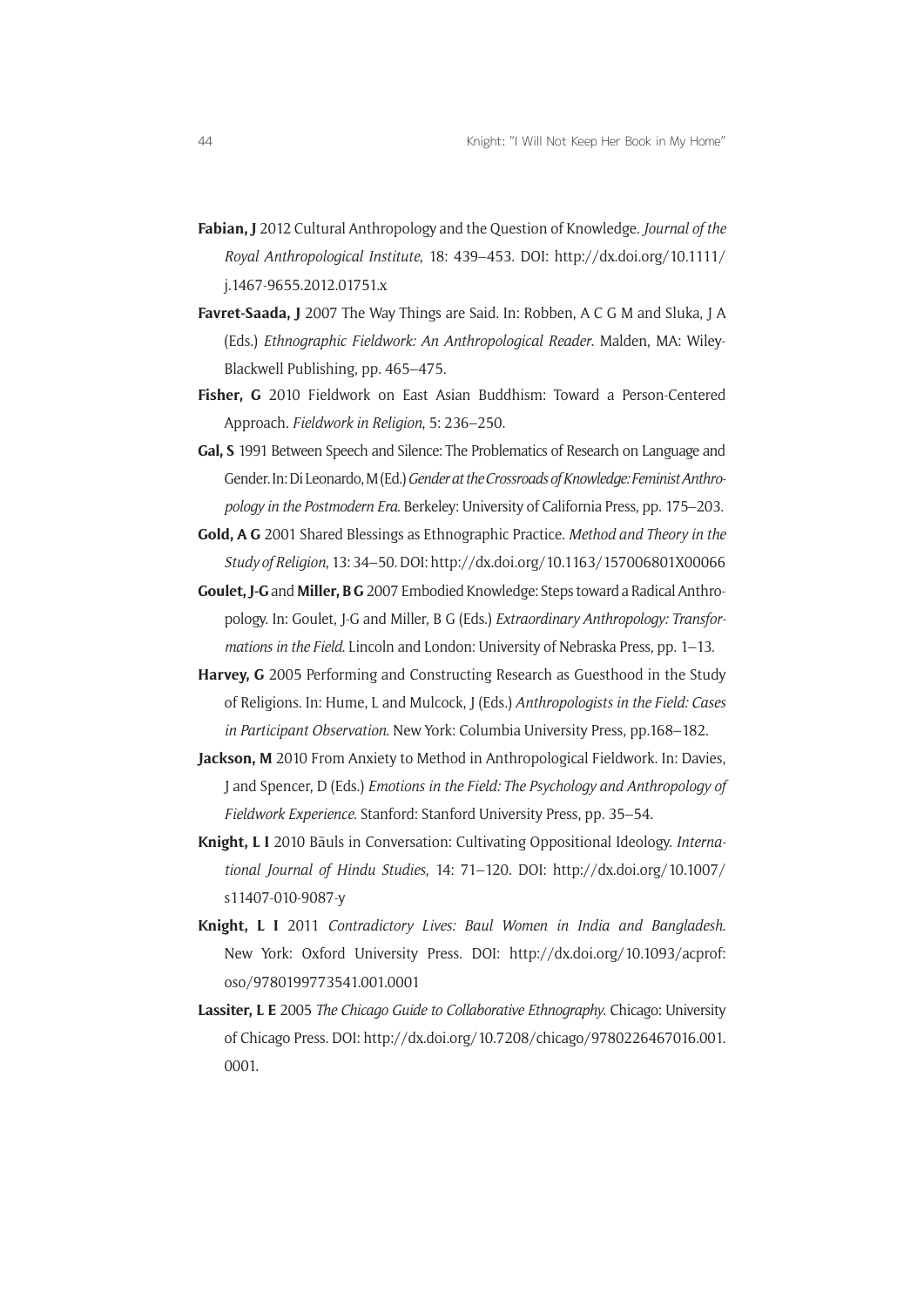- **Fabian, J** 2012 Cultural Anthropology and the Question of Knowledge. *Journal of the Royal Anthropological Institute*, 18: 439–453. DOI: [http://dx.doi.org/10.1111/](http://dx.doi.org/10.1111/j.1467-9655.2012.01751.x) [j.1467-9655.2012.01751.x](http://dx.doi.org/10.1111/j.1467-9655.2012.01751.x)
- **Favret-Saada, J** 2007 The Way Things are Said. In: Robben, A C G M and Sluka, J A (Eds.) *Ethnographic Fieldwork: An Anthropological Reader*. Malden, MA: Wiley-Blackwell Publishing, pp. 465–475.
- **Fisher, G** 2010 Fieldwork on East Asian Buddhism: Toward a Person-Centered Approach. *Fieldwork in Religion*, 5: 236–250.
- **Gal, S** 1991 Between Speech and Silence: The Problematics of Research on Language and Gender. In: Di Leonardo, M (Ed.) *Gender at the Crossroads of Knowledge: Feminist Anthropology in the Postmodern Era*. Berkeley: University of California Press, pp. 175–203.
- **Gold, A G** 2001 Shared Blessings as Ethnographic Practice. *Method and Theory in the Study of Religion*, 13: 34–50. DOI:<http://dx.doi.org/10.1163/157006801X00066>
- **Goulet, J-G** and **Miller, B G** 2007 Embodied Knowledge: Steps toward a Radical Anthropology. In: Goulet, J-G and Miller, B G (Eds.) *Extraordinary Anthropology: Transformations in the Field*. Lincoln and London: University of Nebraska Press, pp. 1–13.
- **Harvey, G** 2005 Performing and Constructing Research as Guesthood in the Study of Religions. In: Hume, L and Mulcock, J (Eds.) *Anthropologists in the Field: Cases in Participant Observation*. New York: Columbia University Press, pp.168–182.
- **Jackson, M** 2010 From Anxiety to Method in Anthropological Fieldwork. In: Davies, J and Spencer, D (Eds.) *Emotions in the Field: The Psychology and Anthropology of Fieldwork Experience*. Stanford: Stanford University Press, pp. 35–54.
- **Knight, L I** 2010 Bāuls in Conversation: Cultivating Oppositional Ideology. *International Journal of Hindu Studies*, 14: 71–120. DOI: [http://dx.doi.org/10.1007/](http://dx.doi.org/10.1007/s11407-010-9087-y) [s11407-010-9087-y](http://dx.doi.org/10.1007/s11407-010-9087-y)
- **Knight, L I** 2011 *Contradictory Lives: Baul Women in India and Bangladesh*. New York: Oxford University Press. DOI: [http://dx.doi.org/10.1093/acprof:](http://dx.doi.org/10.1093/acprof:oso/9780199773541.001.0001) [oso/9780199773541.001.0001](http://dx.doi.org/10.1093/acprof:oso/9780199773541.001.0001)
- **Lassiter, L E** 2005 *The Chicago Guide to Collaborative Ethnography*. Chicago: University of Chicago Press. DOI: [http://dx.doi.org/10.7208/chicago/9780226467016.001.](http://dx.doi.org/10.7208/chicago/9780226467016.001.0001) [0001.](http://dx.doi.org/10.7208/chicago/9780226467016.001.0001)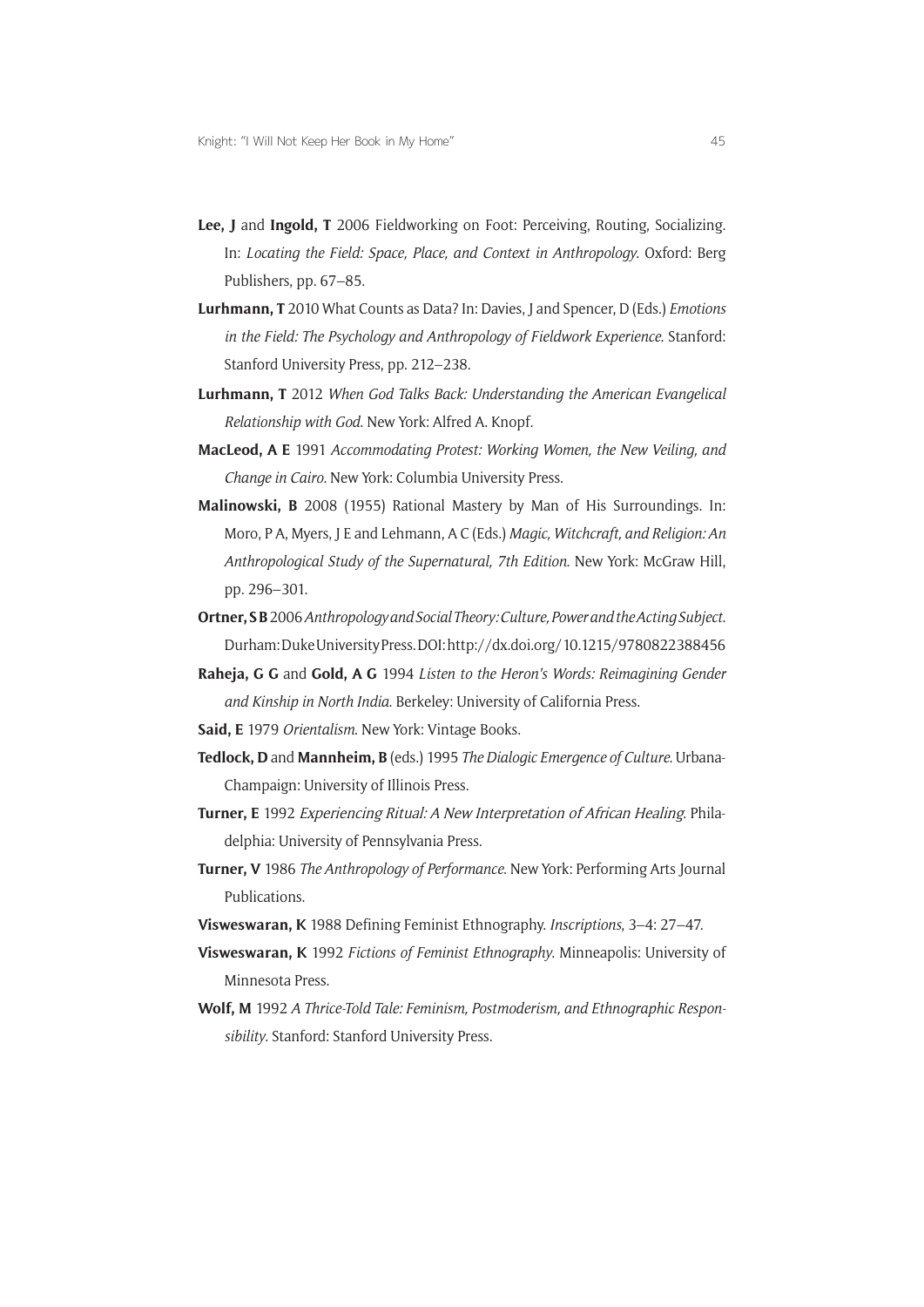- **Lee, J** and **Ingold, T** 2006 Fieldworking on Foot: Perceiving, Routing, Socializing. In: *Locating the Field: Space, Place, and Context in Anthropology*. Oxford: Berg Publishers, pp. 67–85.
- **Lurhmann, T** 2010 What Counts as Data? In: Davies, J and Spencer, D (Eds.) *Emotions in the Field: The Psychology and Anthropology of Fieldwork Experience*. Stanford: Stanford University Press, pp. 212–238.
- **Lurhmann, T** 2012 *When God Talks Back: Understanding the American Evangelical Relationship with God*. New York: Alfred A. Knopf.
- **MacLeod, A E** 1991 *Accommodating Protest: Working Women, the New Veiling, and Change in Cairo.* New York: Columbia University Press.
- **Malinowski, B** 2008 (1955) Rational Mastery by Man of His Surroundings. In: Moro, P A, Myers, J E and Lehmann, A C (Eds.) *Magic, Witchcraft, and Religion: An Anthropological Study of the Supernatural, 7th Edition*. New York: McGraw Hill, pp. 296–301.
- **Ortner, S B** 2006 *Anthropology and Social Theory: Culture, Power and the Acting Subject*. Durham: Duke University Press. DOI:<http://dx.doi.org/10.1215/9780822388456>
- **Raheja, G G** and **Gold, A G** 1994 *Listen to the Heron's Words: Reimagining Gender and Kinship in North India*. Berkeley: University of California Press.
- **Said, E** 1979 *Orientalism*. New York: Vintage Books.
- **Tedlock, D** and **Mannheim, B** (eds.) 1995 *The Dialogic Emergence of Culture*. Urbana-Champaign: University of Illinois Press.
- **Turner, E** 1992 Experiencing Ritual: A New Interpretation of African Healing. Philadelphia: University of Pennsylvania Press.
- **Turner, V** 1986 *The Anthropology of Performance*. New York: Performing Arts Journal Publications.
- **Visweswaran, K** 1988 Defining Feminist Ethnography. *Inscriptions*, 3–4: 27–47.
- **Visweswaran, K** 1992 *Fictions of Feminist Ethnography*. Minneapolis: University of Minnesota Press.
- **Wolf, M** 1992 *A Thrice-Told Tale: Feminism, Postmoderism, and Ethnographic Responsibility*. Stanford: Stanford University Press.